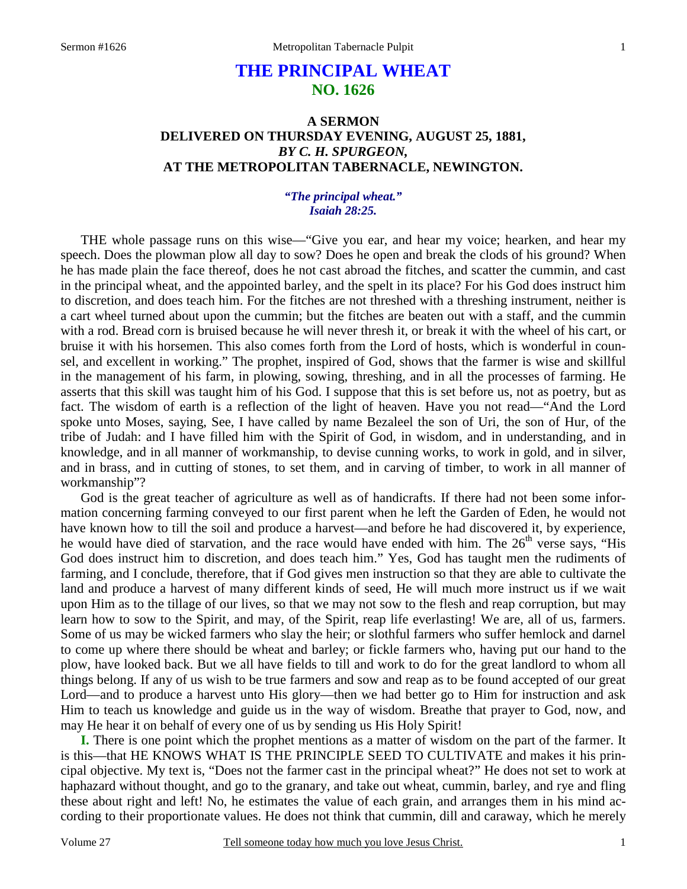# **THE PRINCIPAL WHEAT NO. 1626**

## **A SERMON DELIVERED ON THURSDAY EVENING, AUGUST 25, 1881,**  *BY C. H. SPURGEON,*  **AT THE METROPOLITAN TABERNACLE, NEWINGTON.**

## *"The principal wheat." Isaiah 28:25.*

THE whole passage runs on this wise—"Give you ear, and hear my voice; hearken, and hear my speech. Does the plowman plow all day to sow? Does he open and break the clods of his ground? When he has made plain the face thereof, does he not cast abroad the fitches, and scatter the cummin, and cast in the principal wheat, and the appointed barley, and the spelt in its place? For his God does instruct him to discretion, and does teach him. For the fitches are not threshed with a threshing instrument, neither is a cart wheel turned about upon the cummin; but the fitches are beaten out with a staff, and the cummin with a rod. Bread corn is bruised because he will never thresh it, or break it with the wheel of his cart, or bruise it with his horsemen. This also comes forth from the Lord of hosts, which is wonderful in counsel, and excellent in working." The prophet, inspired of God, shows that the farmer is wise and skillful in the management of his farm, in plowing, sowing, threshing, and in all the processes of farming. He asserts that this skill was taught him of his God. I suppose that this is set before us, not as poetry, but as fact. The wisdom of earth is a reflection of the light of heaven. Have you not read—"And the Lord spoke unto Moses, saying, See, I have called by name Bezaleel the son of Uri, the son of Hur, of the tribe of Judah: and I have filled him with the Spirit of God, in wisdom, and in understanding, and in knowledge, and in all manner of workmanship, to devise cunning works, to work in gold, and in silver, and in brass, and in cutting of stones, to set them, and in carving of timber, to work in all manner of workmanship"?

 God is the great teacher of agriculture as well as of handicrafts. If there had not been some information concerning farming conveyed to our first parent when he left the Garden of Eden, he would not have known how to till the soil and produce a harvest—and before he had discovered it, by experience, he would have died of starvation, and the race would have ended with him. The  $26<sup>th</sup>$  verse says, "His God does instruct him to discretion, and does teach him." Yes, God has taught men the rudiments of farming, and I conclude, therefore, that if God gives men instruction so that they are able to cultivate the land and produce a harvest of many different kinds of seed, He will much more instruct us if we wait upon Him as to the tillage of our lives, so that we may not sow to the flesh and reap corruption, but may learn how to sow to the Spirit, and may, of the Spirit, reap life everlasting! We are, all of us, farmers. Some of us may be wicked farmers who slay the heir; or slothful farmers who suffer hemlock and darnel to come up where there should be wheat and barley; or fickle farmers who, having put our hand to the plow, have looked back. But we all have fields to till and work to do for the great landlord to whom all things belong. If any of us wish to be true farmers and sow and reap as to be found accepted of our great Lord—and to produce a harvest unto His glory—then we had better go to Him for instruction and ask Him to teach us knowledge and guide us in the way of wisdom. Breathe that prayer to God, now, and may He hear it on behalf of every one of us by sending us His Holy Spirit!

**I.** There is one point which the prophet mentions as a matter of wisdom on the part of the farmer. It is this—that HE KNOWS WHAT IS THE PRINCIPLE SEED TO CULTIVATE and makes it his principal objective. My text is, "Does not the farmer cast in the principal wheat?" He does not set to work at haphazard without thought, and go to the granary, and take out wheat, cummin, barley, and rye and fling these about right and left! No, he estimates the value of each grain, and arranges them in his mind according to their proportionate values. He does not think that cummin, dill and caraway, which he merely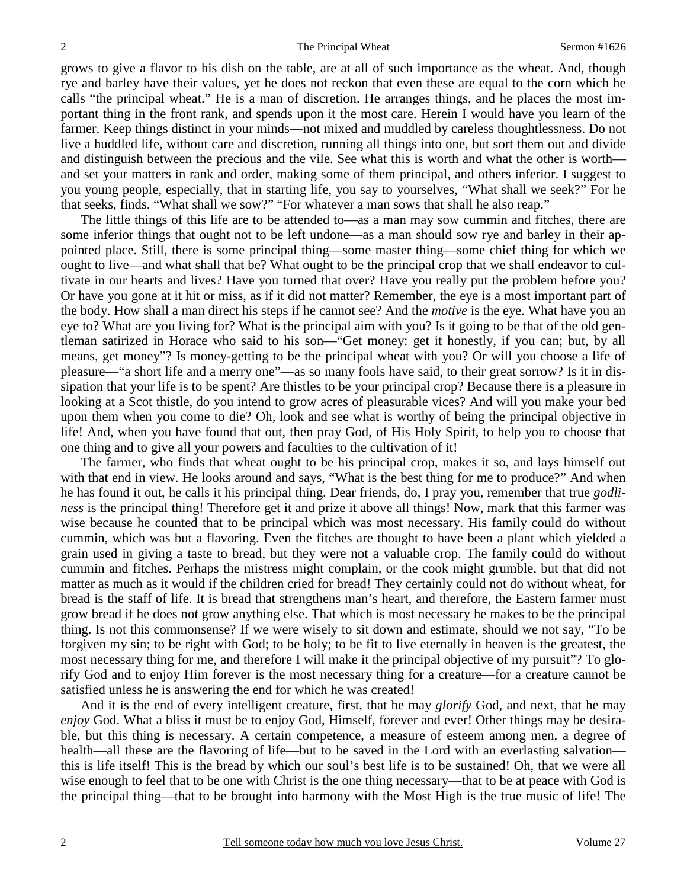grows to give a flavor to his dish on the table, are at all of such importance as the wheat. And, though rye and barley have their values, yet he does not reckon that even these are equal to the corn which he calls "the principal wheat." He is a man of discretion. He arranges things, and he places the most important thing in the front rank, and spends upon it the most care. Herein I would have you learn of the farmer. Keep things distinct in your minds—not mixed and muddled by careless thoughtlessness. Do not live a huddled life, without care and discretion, running all things into one, but sort them out and divide and distinguish between the precious and the vile. See what this is worth and what the other is worth and set your matters in rank and order, making some of them principal, and others inferior. I suggest to you young people, especially, that in starting life, you say to yourselves, "What shall we seek?" For he that seeks, finds. "What shall we sow?" "For whatever a man sows that shall he also reap."

 The little things of this life are to be attended to—as a man may sow cummin and fitches, there are some inferior things that ought not to be left undone—as a man should sow rye and barley in their appointed place. Still, there is some principal thing—some master thing—some chief thing for which we ought to live—and what shall that be? What ought to be the principal crop that we shall endeavor to cultivate in our hearts and lives? Have you turned that over? Have you really put the problem before you? Or have you gone at it hit or miss, as if it did not matter? Remember, the eye is a most important part of the body. How shall a man direct his steps if he cannot see? And the *motive* is the eye. What have you an eye to? What are you living for? What is the principal aim with you? Is it going to be that of the old gentleman satirized in Horace who said to his son—"Get money: get it honestly, if you can; but, by all means, get money"? Is money-getting to be the principal wheat with you? Or will you choose a life of pleasure—"a short life and a merry one"—as so many fools have said, to their great sorrow? Is it in dissipation that your life is to be spent? Are thistles to be your principal crop? Because there is a pleasure in looking at a Scot thistle, do you intend to grow acres of pleasurable vices? And will you make your bed upon them when you come to die? Oh, look and see what is worthy of being the principal objective in life! And, when you have found that out, then pray God, of His Holy Spirit, to help you to choose that one thing and to give all your powers and faculties to the cultivation of it!

 The farmer, who finds that wheat ought to be his principal crop, makes it so, and lays himself out with that end in view. He looks around and says, "What is the best thing for me to produce?" And when he has found it out, he calls it his principal thing. Dear friends, do, I pray you, remember that true *godliness* is the principal thing! Therefore get it and prize it above all things! Now, mark that this farmer was wise because he counted that to be principal which was most necessary. His family could do without cummin, which was but a flavoring. Even the fitches are thought to have been a plant which yielded a grain used in giving a taste to bread, but they were not a valuable crop. The family could do without cummin and fitches. Perhaps the mistress might complain, or the cook might grumble, but that did not matter as much as it would if the children cried for bread! They certainly could not do without wheat, for bread is the staff of life. It is bread that strengthens man's heart, and therefore, the Eastern farmer must grow bread if he does not grow anything else. That which is most necessary he makes to be the principal thing. Is not this commonsense? If we were wisely to sit down and estimate, should we not say, "To be forgiven my sin; to be right with God; to be holy; to be fit to live eternally in heaven is the greatest, the most necessary thing for me, and therefore I will make it the principal objective of my pursuit"? To glorify God and to enjoy Him forever is the most necessary thing for a creature—for a creature cannot be satisfied unless he is answering the end for which he was created!

 And it is the end of every intelligent creature, first, that he may *glorify* God, and next, that he may *enjoy* God. What a bliss it must be to enjoy God, Himself, forever and ever! Other things may be desirable, but this thing is necessary. A certain competence, a measure of esteem among men, a degree of health—all these are the flavoring of life—but to be saved in the Lord with an everlasting salvation this is life itself! This is the bread by which our soul's best life is to be sustained! Oh, that we were all wise enough to feel that to be one with Christ is the one thing necessary—that to be at peace with God is the principal thing—that to be brought into harmony with the Most High is the true music of life! The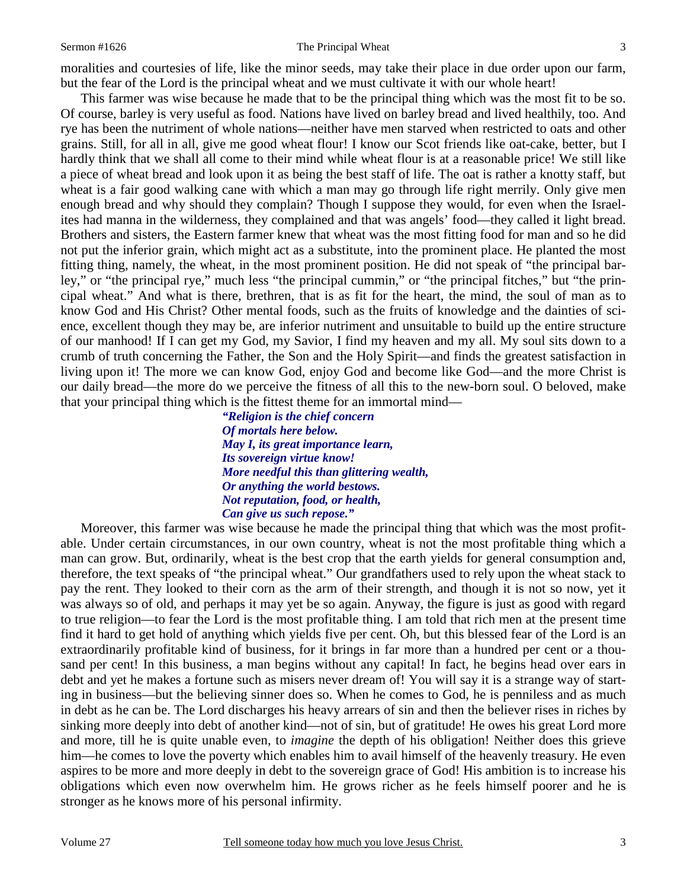#### Sermon #1626 **Sermon #1626** The Principal Wheat 3

moralities and courtesies of life, like the minor seeds, may take their place in due order upon our farm, but the fear of the Lord is the principal wheat and we must cultivate it with our whole heart!

 This farmer was wise because he made that to be the principal thing which was the most fit to be so. Of course, barley is very useful as food. Nations have lived on barley bread and lived healthily, too. And rye has been the nutriment of whole nations—neither have men starved when restricted to oats and other grains. Still, for all in all, give me good wheat flour! I know our Scot friends like oat-cake, better, but I hardly think that we shall all come to their mind while wheat flour is at a reasonable price! We still like a piece of wheat bread and look upon it as being the best staff of life. The oat is rather a knotty staff, but wheat is a fair good walking cane with which a man may go through life right merrily. Only give men enough bread and why should they complain? Though I suppose they would, for even when the Israelites had manna in the wilderness, they complained and that was angels' food—they called it light bread. Brothers and sisters, the Eastern farmer knew that wheat was the most fitting food for man and so he did not put the inferior grain, which might act as a substitute, into the prominent place. He planted the most fitting thing, namely, the wheat, in the most prominent position. He did not speak of "the principal barley," or "the principal rye," much less "the principal cummin," or "the principal fitches," but "the principal wheat." And what is there, brethren, that is as fit for the heart, the mind, the soul of man as to know God and His Christ? Other mental foods, such as the fruits of knowledge and the dainties of science, excellent though they may be, are inferior nutriment and unsuitable to build up the entire structure of our manhood! If I can get my God, my Savior, I find my heaven and my all. My soul sits down to a crumb of truth concerning the Father, the Son and the Holy Spirit—and finds the greatest satisfaction in living upon it! The more we can know God, enjoy God and become like God—and the more Christ is our daily bread—the more do we perceive the fitness of all this to the new-born soul. O beloved, make that your principal thing which is the fittest theme for an immortal mind—

> *"Religion is the chief concern Of mortals here below. May I, its great importance learn, Its sovereign virtue know! More needful this than glittering wealth, Or anything the world bestows. Not reputation, food, or health, Can give us such repose."*

 Moreover, this farmer was wise because he made the principal thing that which was the most profitable. Under certain circumstances, in our own country, wheat is not the most profitable thing which a man can grow. But, ordinarily, wheat is the best crop that the earth yields for general consumption and, therefore, the text speaks of "the principal wheat." Our grandfathers used to rely upon the wheat stack to pay the rent. They looked to their corn as the arm of their strength, and though it is not so now, yet it was always so of old, and perhaps it may yet be so again. Anyway, the figure is just as good with regard to true religion—to fear the Lord is the most profitable thing. I am told that rich men at the present time find it hard to get hold of anything which yields five per cent. Oh, but this blessed fear of the Lord is an extraordinarily profitable kind of business, for it brings in far more than a hundred per cent or a thousand per cent! In this business, a man begins without any capital! In fact, he begins head over ears in debt and yet he makes a fortune such as misers never dream of! You will say it is a strange way of starting in business—but the believing sinner does so. When he comes to God, he is penniless and as much in debt as he can be. The Lord discharges his heavy arrears of sin and then the believer rises in riches by sinking more deeply into debt of another kind—not of sin, but of gratitude! He owes his great Lord more and more, till he is quite unable even, to *imagine* the depth of his obligation! Neither does this grieve him—he comes to love the poverty which enables him to avail himself of the heavenly treasury. He even aspires to be more and more deeply in debt to the sovereign grace of God! His ambition is to increase his obligations which even now overwhelm him. He grows richer as he feels himself poorer and he is stronger as he knows more of his personal infirmity.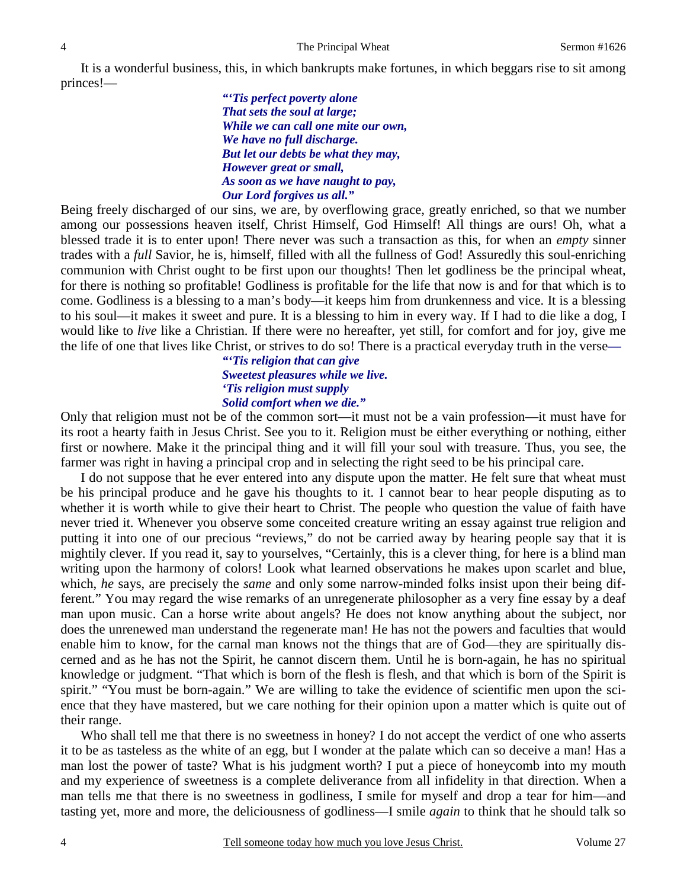It is a wonderful business, this, in which bankrupts make fortunes, in which beggars rise to sit among princes!—

> *"'Tis perfect poverty alone That sets the soul at large; While we can call one mite our own, We have no full discharge. But let our debts be what they may, However great or small, As soon as we have naught to pay, Our Lord forgives us all."*

Being freely discharged of our sins, we are, by overflowing grace, greatly enriched, so that we number among our possessions heaven itself, Christ Himself, God Himself! All things are ours! Oh, what a blessed trade it is to enter upon! There never was such a transaction as this, for when an *empty* sinner trades with a *full* Savior, he is, himself, filled with all the fullness of God! Assuredly this soul-enriching communion with Christ ought to be first upon our thoughts! Then let godliness be the principal wheat, for there is nothing so profitable! Godliness is profitable for the life that now is and for that which is to come. Godliness is a blessing to a man's body—it keeps him from drunkenness and vice. It is a blessing to his soul—it makes it sweet and pure. It is a blessing to him in every way. If I had to die like a dog, I would like to *live* like a Christian. If there were no hereafter, yet still, for comfort and for joy, give me the life of one that lives like Christ, or strives to do so! There is a practical everyday truth in the verse*—* 

> *"'Tis religion that can give Sweetest pleasures while we live. 'Tis religion must supply Solid comfort when we die."*

Only that religion must not be of the common sort—it must not be a vain profession—it must have for its root a hearty faith in Jesus Christ. See you to it. Religion must be either everything or nothing, either first or nowhere. Make it the principal thing and it will fill your soul with treasure. Thus, you see, the farmer was right in having a principal crop and in selecting the right seed to be his principal care.

 I do not suppose that he ever entered into any dispute upon the matter. He felt sure that wheat must be his principal produce and he gave his thoughts to it. I cannot bear to hear people disputing as to whether it is worth while to give their heart to Christ. The people who question the value of faith have never tried it. Whenever you observe some conceited creature writing an essay against true religion and putting it into one of our precious "reviews," do not be carried away by hearing people say that it is mightily clever. If you read it, say to yourselves, "Certainly, this is a clever thing, for here is a blind man writing upon the harmony of colors! Look what learned observations he makes upon scarlet and blue, which, *he* says, are precisely the *same* and only some narrow-minded folks insist upon their being different." You may regard the wise remarks of an unregenerate philosopher as a very fine essay by a deaf man upon music. Can a horse write about angels? He does not know anything about the subject, nor does the unrenewed man understand the regenerate man! He has not the powers and faculties that would enable him to know, for the carnal man knows not the things that are of God—they are spiritually discerned and as he has not the Spirit, he cannot discern them. Until he is born-again, he has no spiritual knowledge or judgment. "That which is born of the flesh is flesh, and that which is born of the Spirit is spirit." "You must be born-again." We are willing to take the evidence of scientific men upon the science that they have mastered, but we care nothing for their opinion upon a matter which is quite out of their range.

 Who shall tell me that there is no sweetness in honey? I do not accept the verdict of one who asserts it to be as tasteless as the white of an egg, but I wonder at the palate which can so deceive a man! Has a man lost the power of taste? What is his judgment worth? I put a piece of honeycomb into my mouth and my experience of sweetness is a complete deliverance from all infidelity in that direction. When a man tells me that there is no sweetness in godliness, I smile for myself and drop a tear for him—and tasting yet, more and more, the deliciousness of godliness—I smile *again* to think that he should talk so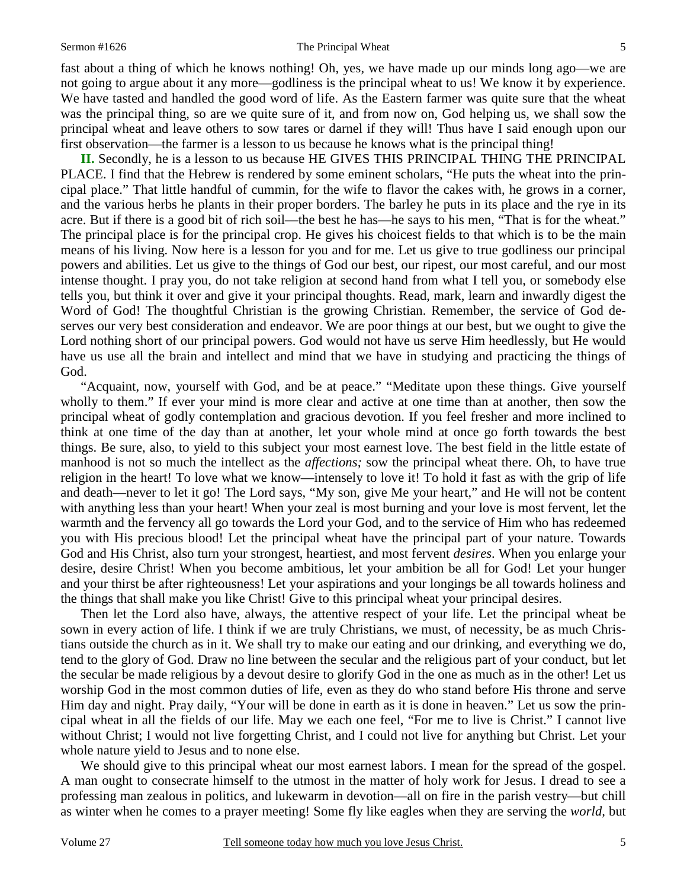#### Sermon #1626 **Sermon #1626** The Principal Wheat 5

fast about a thing of which he knows nothing! Oh, yes, we have made up our minds long ago—we are not going to argue about it any more—godliness is the principal wheat to us! We know it by experience. We have tasted and handled the good word of life. As the Eastern farmer was quite sure that the wheat was the principal thing, so are we quite sure of it, and from now on, God helping us, we shall sow the principal wheat and leave others to sow tares or darnel if they will! Thus have I said enough upon our first observation—the farmer is a lesson to us because he knows what is the principal thing!

**II.** Secondly, he is a lesson to us because HE GIVES THIS PRINCIPAL THING THE PRINCIPAL PLACE. I find that the Hebrew is rendered by some eminent scholars, "He puts the wheat into the principal place." That little handful of cummin, for the wife to flavor the cakes with, he grows in a corner, and the various herbs he plants in their proper borders. The barley he puts in its place and the rye in its acre. But if there is a good bit of rich soil—the best he has—he says to his men, "That is for the wheat." The principal place is for the principal crop. He gives his choicest fields to that which is to be the main means of his living. Now here is a lesson for you and for me. Let us give to true godliness our principal powers and abilities. Let us give to the things of God our best, our ripest, our most careful, and our most intense thought. I pray you, do not take religion at second hand from what I tell you, or somebody else tells you, but think it over and give it your principal thoughts. Read, mark, learn and inwardly digest the Word of God! The thoughtful Christian is the growing Christian. Remember, the service of God deserves our very best consideration and endeavor. We are poor things at our best, but we ought to give the Lord nothing short of our principal powers. God would not have us serve Him heedlessly, but He would have us use all the brain and intellect and mind that we have in studying and practicing the things of God.

 "Acquaint, now, yourself with God, and be at peace." "Meditate upon these things. Give yourself wholly to them." If ever your mind is more clear and active at one time than at another, then sow the principal wheat of godly contemplation and gracious devotion. If you feel fresher and more inclined to think at one time of the day than at another, let your whole mind at once go forth towards the best things. Be sure, also, to yield to this subject your most earnest love. The best field in the little estate of manhood is not so much the intellect as the *affections;* sow the principal wheat there. Oh, to have true religion in the heart! To love what we know—intensely to love it! To hold it fast as with the grip of life and death—never to let it go! The Lord says, "My son, give Me your heart," and He will not be content with anything less than your heart! When your zeal is most burning and your love is most fervent, let the warmth and the fervency all go towards the Lord your God, and to the service of Him who has redeemed you with His precious blood! Let the principal wheat have the principal part of your nature. Towards God and His Christ, also turn your strongest, heartiest, and most fervent *desires*. When you enlarge your desire, desire Christ! When you become ambitious, let your ambition be all for God! Let your hunger and your thirst be after righteousness! Let your aspirations and your longings be all towards holiness and the things that shall make you like Christ! Give to this principal wheat your principal desires.

 Then let the Lord also have, always, the attentive respect of your life. Let the principal wheat be sown in every action of life. I think if we are truly Christians, we must, of necessity, be as much Christians outside the church as in it. We shall try to make our eating and our drinking, and everything we do, tend to the glory of God. Draw no line between the secular and the religious part of your conduct, but let the secular be made religious by a devout desire to glorify God in the one as much as in the other! Let us worship God in the most common duties of life, even as they do who stand before His throne and serve Him day and night. Pray daily, "Your will be done in earth as it is done in heaven." Let us sow the principal wheat in all the fields of our life. May we each one feel, "For me to live is Christ." I cannot live without Christ; I would not live forgetting Christ, and I could not live for anything but Christ. Let your whole nature yield to Jesus and to none else.

We should give to this principal wheat our most earnest labors. I mean for the spread of the gospel. A man ought to consecrate himself to the utmost in the matter of holy work for Jesus. I dread to see a professing man zealous in politics, and lukewarm in devotion—all on fire in the parish vestry—but chill as winter when he comes to a prayer meeting! Some fly like eagles when they are serving the *world,* but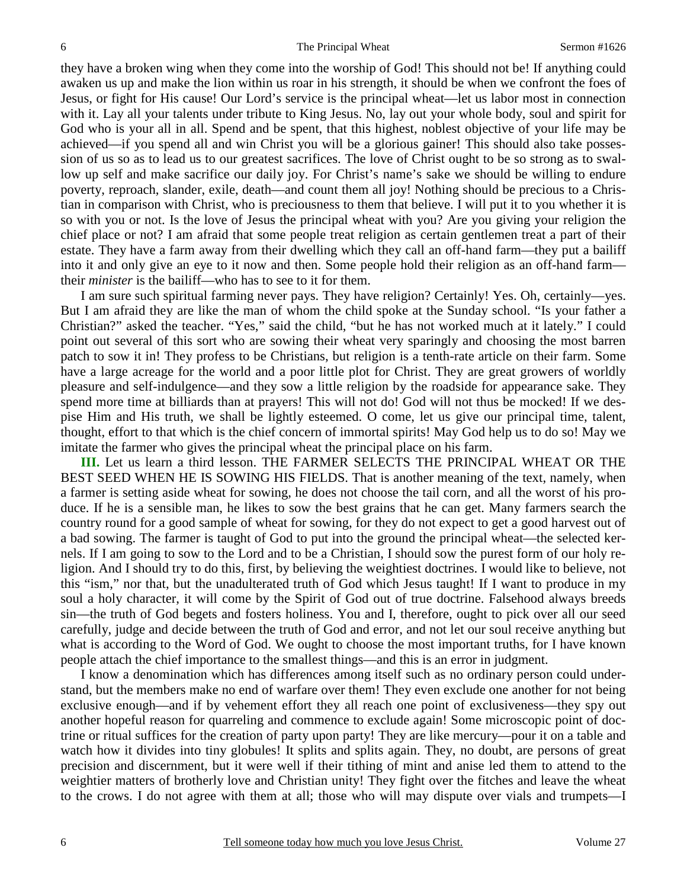they have a broken wing when they come into the worship of God! This should not be! If anything could awaken us up and make the lion within us roar in his strength, it should be when we confront the foes of Jesus, or fight for His cause! Our Lord's service is the principal wheat—let us labor most in connection with it. Lay all your talents under tribute to King Jesus. No, lay out your whole body, soul and spirit for God who is your all in all. Spend and be spent, that this highest, noblest objective of your life may be achieved—if you spend all and win Christ you will be a glorious gainer! This should also take possession of us so as to lead us to our greatest sacrifices. The love of Christ ought to be so strong as to swallow up self and make sacrifice our daily joy. For Christ's name's sake we should be willing to endure poverty, reproach, slander, exile, death—and count them all joy! Nothing should be precious to a Christian in comparison with Christ, who is preciousness to them that believe. I will put it to you whether it is so with you or not. Is the love of Jesus the principal wheat with you? Are you giving your religion the chief place or not? I am afraid that some people treat religion as certain gentlemen treat a part of their estate. They have a farm away from their dwelling which they call an off-hand farm—they put a bailiff into it and only give an eye to it now and then. Some people hold their religion as an off-hand farm their *minister* is the bailiff—who has to see to it for them.

I am sure such spiritual farming never pays. They have religion? Certainly! Yes. Oh, certainly—yes. But I am afraid they are like the man of whom the child spoke at the Sunday school. "Is your father a Christian?" asked the teacher. "Yes," said the child, "but he has not worked much at it lately." I could point out several of this sort who are sowing their wheat very sparingly and choosing the most barren patch to sow it in! They profess to be Christians, but religion is a tenth-rate article on their farm. Some have a large acreage for the world and a poor little plot for Christ. They are great growers of worldly pleasure and self-indulgence—and they sow a little religion by the roadside for appearance sake. They spend more time at billiards than at prayers! This will not do! God will not thus be mocked! If we despise Him and His truth, we shall be lightly esteemed. O come, let us give our principal time, talent, thought, effort to that which is the chief concern of immortal spirits! May God help us to do so! May we imitate the farmer who gives the principal wheat the principal place on his farm.

**III.** Let us learn a third lesson. THE FARMER SELECTS THE PRINCIPAL WHEAT OR THE BEST SEED WHEN HE IS SOWING HIS FIELDS. That is another meaning of the text, namely, when a farmer is setting aside wheat for sowing, he does not choose the tail corn, and all the worst of his produce. If he is a sensible man, he likes to sow the best grains that he can get. Many farmers search the country round for a good sample of wheat for sowing, for they do not expect to get a good harvest out of a bad sowing. The farmer is taught of God to put into the ground the principal wheat—the selected kernels. If I am going to sow to the Lord and to be a Christian, I should sow the purest form of our holy religion. And I should try to do this, first, by believing the weightiest doctrines. I would like to believe, not this "ism," nor that, but the unadulterated truth of God which Jesus taught! If I want to produce in my soul a holy character, it will come by the Spirit of God out of true doctrine. Falsehood always breeds sin—the truth of God begets and fosters holiness. You and I, therefore, ought to pick over all our seed carefully, judge and decide between the truth of God and error, and not let our soul receive anything but what is according to the Word of God. We ought to choose the most important truths, for I have known people attach the chief importance to the smallest things—and this is an error in judgment.

 I know a denomination which has differences among itself such as no ordinary person could understand, but the members make no end of warfare over them! They even exclude one another for not being exclusive enough—and if by vehement effort they all reach one point of exclusiveness—they spy out another hopeful reason for quarreling and commence to exclude again! Some microscopic point of doctrine or ritual suffices for the creation of party upon party! They are like mercury—pour it on a table and watch how it divides into tiny globules! It splits and splits again. They, no doubt, are persons of great precision and discernment, but it were well if their tithing of mint and anise led them to attend to the weightier matters of brotherly love and Christian unity! They fight over the fitches and leave the wheat to the crows. I do not agree with them at all; those who will may dispute over vials and trumpets—I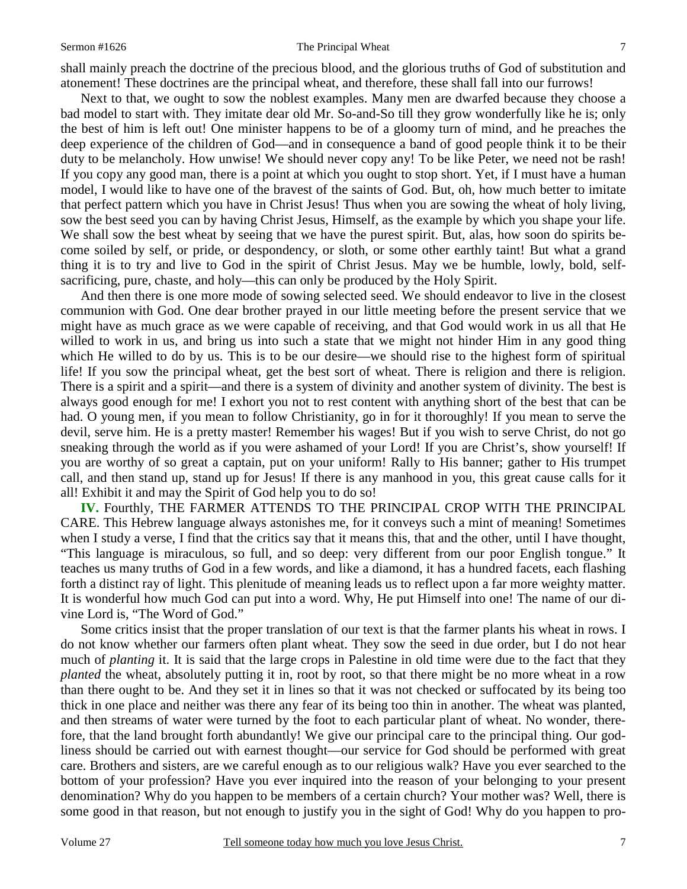### Sermon #1626 **The Principal Wheat** 7

shall mainly preach the doctrine of the precious blood, and the glorious truths of God of substitution and atonement! These doctrines are the principal wheat, and therefore, these shall fall into our furrows!

 Next to that, we ought to sow the noblest examples. Many men are dwarfed because they choose a bad model to start with. They imitate dear old Mr. So-and-So till they grow wonderfully like he is; only the best of him is left out! One minister happens to be of a gloomy turn of mind, and he preaches the deep experience of the children of God—and in consequence a band of good people think it to be their duty to be melancholy. How unwise! We should never copy any! To be like Peter, we need not be rash! If you copy any good man, there is a point at which you ought to stop short. Yet, if I must have a human model, I would like to have one of the bravest of the saints of God. But, oh, how much better to imitate that perfect pattern which you have in Christ Jesus! Thus when you are sowing the wheat of holy living, sow the best seed you can by having Christ Jesus, Himself, as the example by which you shape your life. We shall sow the best wheat by seeing that we have the purest spirit. But, alas, how soon do spirits become soiled by self, or pride, or despondency, or sloth, or some other earthly taint! But what a grand thing it is to try and live to God in the spirit of Christ Jesus. May we be humble, lowly, bold, selfsacrificing, pure, chaste, and holy—this can only be produced by the Holy Spirit.

 And then there is one more mode of sowing selected seed. We should endeavor to live in the closest communion with God. One dear brother prayed in our little meeting before the present service that we might have as much grace as we were capable of receiving, and that God would work in us all that He willed to work in us, and bring us into such a state that we might not hinder Him in any good thing which He willed to do by us. This is to be our desire—we should rise to the highest form of spiritual life! If you sow the principal wheat, get the best sort of wheat. There is religion and there is religion. There is a spirit and a spirit—and there is a system of divinity and another system of divinity. The best is always good enough for me! I exhort you not to rest content with anything short of the best that can be had. O young men, if you mean to follow Christianity, go in for it thoroughly! If you mean to serve the devil, serve him. He is a pretty master! Remember his wages! But if you wish to serve Christ, do not go sneaking through the world as if you were ashamed of your Lord! If you are Christ's, show yourself! If you are worthy of so great a captain, put on your uniform! Rally to His banner; gather to His trumpet call, and then stand up, stand up for Jesus! If there is any manhood in you, this great cause calls for it all! Exhibit it and may the Spirit of God help you to do so!

**IV.** Fourthly, THE FARMER ATTENDS TO THE PRINCIPAL CROP WITH THE PRINCIPAL CARE. This Hebrew language always astonishes me, for it conveys such a mint of meaning! Sometimes when I study a verse, I find that the critics say that it means this, that and the other, until I have thought, "This language is miraculous, so full, and so deep: very different from our poor English tongue." It teaches us many truths of God in a few words, and like a diamond, it has a hundred facets, each flashing forth a distinct ray of light. This plenitude of meaning leads us to reflect upon a far more weighty matter. It is wonderful how much God can put into a word. Why, He put Himself into one! The name of our divine Lord is, "The Word of God."

 Some critics insist that the proper translation of our text is that the farmer plants his wheat in rows. I do not know whether our farmers often plant wheat. They sow the seed in due order, but I do not hear much of *planting* it. It is said that the large crops in Palestine in old time were due to the fact that they *planted* the wheat, absolutely putting it in, root by root, so that there might be no more wheat in a row than there ought to be. And they set it in lines so that it was not checked or suffocated by its being too thick in one place and neither was there any fear of its being too thin in another. The wheat was planted, and then streams of water were turned by the foot to each particular plant of wheat. No wonder, therefore, that the land brought forth abundantly! We give our principal care to the principal thing. Our godliness should be carried out with earnest thought—our service for God should be performed with great care. Brothers and sisters, are we careful enough as to our religious walk? Have you ever searched to the bottom of your profession? Have you ever inquired into the reason of your belonging to your present denomination? Why do you happen to be members of a certain church? Your mother was? Well, there is some good in that reason, but not enough to justify you in the sight of God! Why do you happen to pro